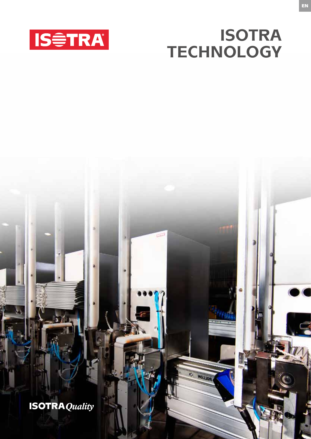

### **ISOTRA TECHNOLOGY**

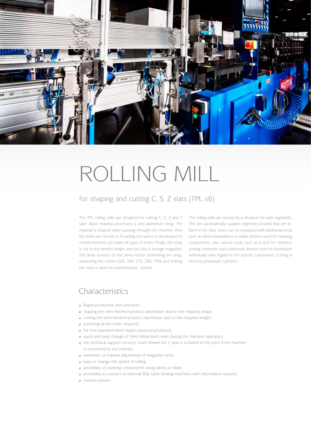

### for shaping and cutting C, S, Z slats (TPL v6)

The TPL rolling mills are designed for cutting C, S, Z and T slats. Basic material processed is and aluminium strap. The material is shaped when passing through the machine, then the holes are cut into it. A cutting tool which is developed for certain machine can make all types of holes. Finally, the strap is cut to the desired length and put into a storage magazine. The drive consists of one servo-motor. Unwinding the strap, unwinding the rubber (S65, S90, Z70, Z90, T90) and shifting the racks is done by asynchronous motors.

The rolling mills are served by a vibration bin with segments. This bin automatically supplies segments (hooks) that are infixed in the slats. Lines can be equipped with additional tools such as label manipulators or inkjet printers used for marking components, also various tools such as a tool for vibration sorting. However, such additional devices must be developed individually with regard to the specific component. Cutting is done by pneumatic cylinders.

### Characteristics

- Rapid production and precision,
- shaping the semi-finished product (aluminium slat) to the required shape,
- cutting the semi-finished product (aluminium slat) to the required lenght,
- **punching all the holes required.**
- for non-standard blind shapes (atypical products),
- quick and easy change of blind dimensions even during the machine operation,
- the technical support services Team Viewer for 1 year is included in the price if the machine is connected to the internet,
- automatic or manual adjustment of magazine racks,
- easy to change the speed of rolling,
- **possibility of marking components using labels or inkjet,**
- **possibility to connect to external SQL table (linking machines with information system),**
- camera system.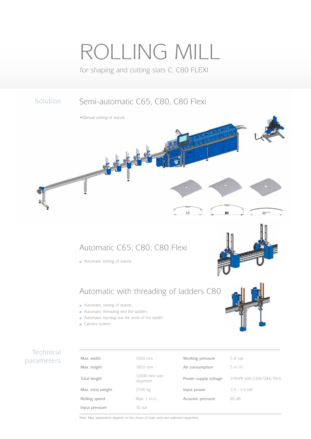for shaping and cutting slats C, C80 FLEXI

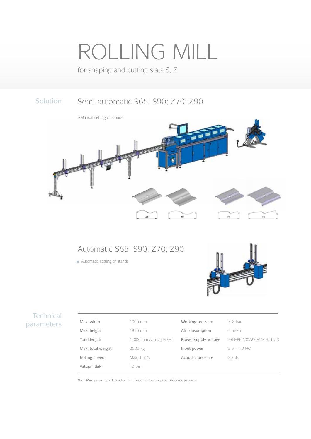for shaping and cutting slats S, Z

Solution Semi-automatic S65; S90; Z70; Z90 **•**Manual setting of stands

### Automatic S65; S90; Z70; Z90

Automatic setting of stands



#### **Technical** parameters

| Max. width        | 1000 mm                 | Working pressure     | $5-8$ bar                 |
|-------------------|-------------------------|----------------------|---------------------------|
| Max. height       | 1850 mm                 | Air consumption      | $5 \text{ m}^3/h$         |
| Total length      | 12000 mm with dispenser | Power supply voltage | 3+N+PE 400/230V 50Hz TN-S |
| Max. total weight | 2500 kg                 | Input power          | $2.5 - 4.0$ kW            |
| Rolling speed     | Max $1 \text{ m/s}$     | Acoustic pressure    | 80 dB                     |
| Vstupní tlak      | 10 bar                  |                      |                           |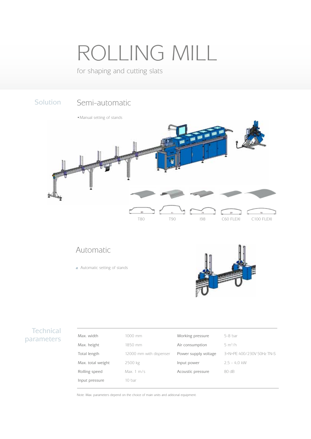for shaping and cutting slats

# Solution Semi-automatic **•**Manual setting of stands T80 T90 I98 C60 FLEXI C100 FLEXI

### Automatic

**Automatic setting of stands** 



### **Technical** parameters

| Max. width        | 1000 mm                 | Working pressure     | $5-8$ bar                 |
|-------------------|-------------------------|----------------------|---------------------------|
| Max. height       | 1850 mm                 | Air consumption      | $5 \text{ m}^3/h$         |
| Total length      | 12000 mm with dispenser | Power supply voltage | 3+N+PE 400/230V 50Hz TN-S |
| Max. total weight | 2500 kg                 | Input power          | $2.5 - 4.0$ kW            |
| Rolling speed     | Max. $1 \text{ m/s}$    | Acoustic pressure    | 80 dB                     |
| Input pressure    | 10 bar                  |                      |                           |
|                   |                         |                      |                           |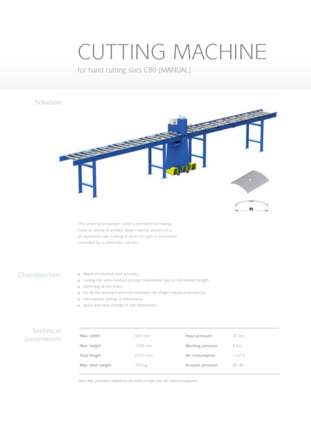## CUTTING MACHINE

for hand cutting slats C80 (MANUAL)

#### **Solution**



This universal pneumatic cutter is intended for making holes or cutting Al profiles. Basic material processed is an aluminium slat. Cutting is done through a mechanism controlled by a pneumatic cylinder.

#### Charakteristic

- Rapid production and accuracy,
- cutting the semi-finished product (aluminium slat) to the desired length,
- **punching all the holes,**
- for all the standard and non-standard slat shapes (atypical products),
- fast manual setting of dimensions,
- quick and easy change of slat dimensions.

### **Technical** parameters

| Max. width        | 600 mm  | Input pressure    | 10 bar              |
|-------------------|---------|-------------------|---------------------|
| Max. height       | 1300 mm | Working pressure  | 8 bar               |
| Total length      | 6500 mm | Air consumption   | 1 m <sup>3</sup> /h |
| Max. total weight | 150 kg  | Acoustic pressure | 80 dB               |
|                   |         |                   |                     |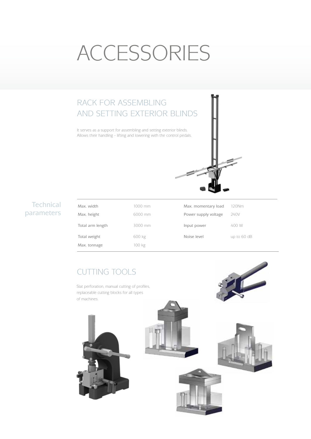### ACCESSORIES

### RACK FOR assembling and setting EXTERIOR BLINDS

It serves as a support for assembling and setting exterior blinds. Allows their handling - lifting and lowering with the control pedals.

| Max. width       | 1000 mm | Max. momentary load  | 120Nm       |
|------------------|---------|----------------------|-------------|
| Max. height      | 6000 mm | Power supply voltage | 240V        |
| Total arm length | 3000 mm | Input power          | 400 W       |
| Total weight     | 600 kg  | Noise level          | up to 60 dB |
| Max. tonnage     | 100 kg  |                      |             |

### CUTTING TOOLS

**Technical** parameters

> Slat perforation, manual cutting of profiles, replaceable cutting blocks for all types of machines.

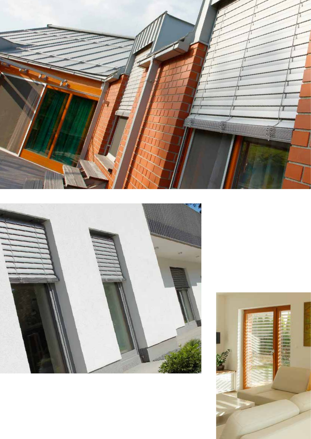



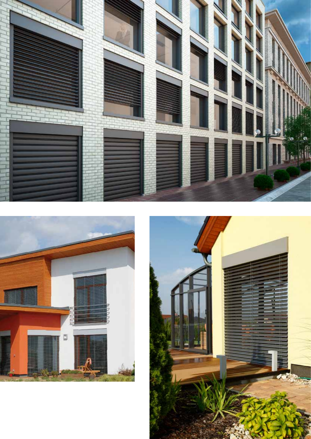